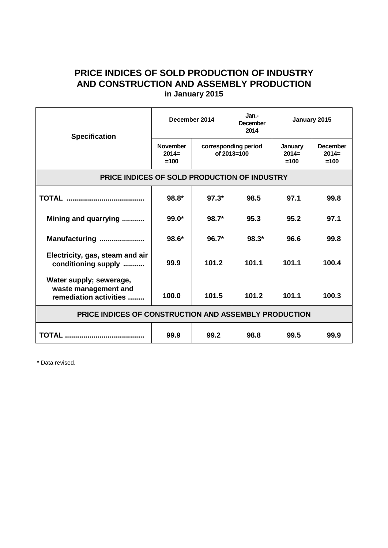## **PRICE INDICES OF SOLD PRODUCTION OF INDUSTRY AND CONSTRUCTION AND ASSEMBLY PRODUCTION in January 2015**

| <b>Specification</b>                                                      | December 2014                        |                                     | Jan.-<br><b>December</b><br>2014 | January 2015                 |                                      |
|---------------------------------------------------------------------------|--------------------------------------|-------------------------------------|----------------------------------|------------------------------|--------------------------------------|
|                                                                           | <b>November</b><br>$2014=$<br>$=100$ | corresponding period<br>of 2013=100 |                                  | January<br>$2014=$<br>$=100$ | <b>December</b><br>$2014=$<br>$=100$ |
| PRICE INDICES OF SOLD PRODUCTION OF INDUSTRY                              |                                      |                                     |                                  |                              |                                      |
|                                                                           | $98.8*$                              | $97.3*$                             | 98.5                             | 97.1                         | 99.8                                 |
| Mining and quarrying                                                      | $99.0*$                              | $98.7*$                             | 95.3                             | 95.2                         | 97.1                                 |
| Manufacturing                                                             | $98.6*$                              | $96.7*$                             | $98.3*$                          | 96.6                         | 99.8                                 |
| Electricity, gas, steam and air<br>conditioning supply                    | 99.9                                 | 101.2                               | 101.1                            | 101.1                        | 100.4                                |
| Water supply; sewerage,<br>waste management and<br>remediation activities | 100.0                                | 101.5                               | 101.2                            | 101.1                        | 100.3                                |
| PRICE INDICES OF CONSTRUCTION AND ASSEMBLY PRODUCTION                     |                                      |                                     |                                  |                              |                                      |
|                                                                           | 99.9                                 | 99.2                                | 98.8                             | 99.5                         | 99.9                                 |

\* Data revised.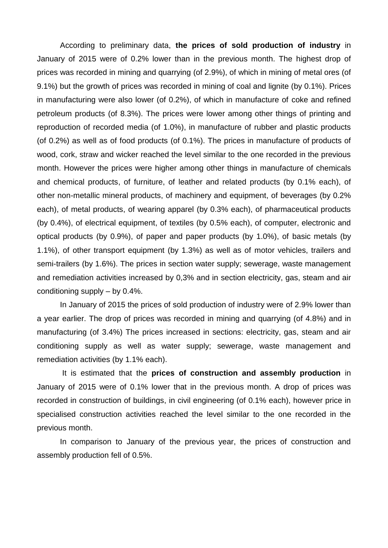According to preliminary data, **the prices of sold production of industry** in January of 2015 were of 0.2% lower than in the previous month. The highest drop of prices was recorded in mining and quarrying (of 2.9%), of which in mining of metal ores (of 9.1%) but the growth of prices was recorded in mining of coal and lignite (by 0.1%). Prices in manufacturing were also lower (of 0.2%), of which in manufacture of coke and refined petroleum products (of 8.3%). The prices were lower among other things of printing and reproduction of recorded media (of 1.0%), in manufacture of rubber and plastic products (of 0.2%) as well as of food products (of 0.1%). The prices in manufacture of products of wood, cork, straw and wicker reached the level similar to the one recorded in the previous month. However the prices were higher among other things in manufacture of chemicals and chemical products, of furniture, of leather and related products (by 0.1% each), of other non-metallic mineral products, of machinery and equipment, of beverages (by 0.2% each), of metal products, of wearing apparel (by 0.3% each), of pharmaceutical products (by 0.4%), of electrical equipment, of textiles (by 0.5% each), of computer, electronic and optical products (by 0.9%), of paper and paper products (by 1.0%), of basic metals (by 1.1%), of other transport equipment (by 1.3%) as well as of motor vehicles, trailers and semi-trailers (by 1.6%). The prices in section water supply; sewerage, waste management and remediation activities increased by 0,3% and in section electricity, gas, steam and air conditioning supply – by 0.4%.

In January of 2015 the prices of sold production of industry were of 2.9% lower than a year earlier. The drop of prices was recorded in mining and quarrying (of 4.8%) and in manufacturing (of 3.4%) The prices increased in sections: electricity, gas, steam and air conditioning supply as well as water supply; sewerage, waste management and remediation activities (by 1.1% each).

It is estimated that the **prices of construction and assembly production** in January of 2015 were of 0.1% lower that in the previous month. A drop of prices was recorded in construction of buildings, in civil engineering (of 0.1% each), however price in specialised construction activities reached the level similar to the one recorded in the previous month.

In comparison to January of the previous year, the prices of construction and assembly production fell of 0.5%.